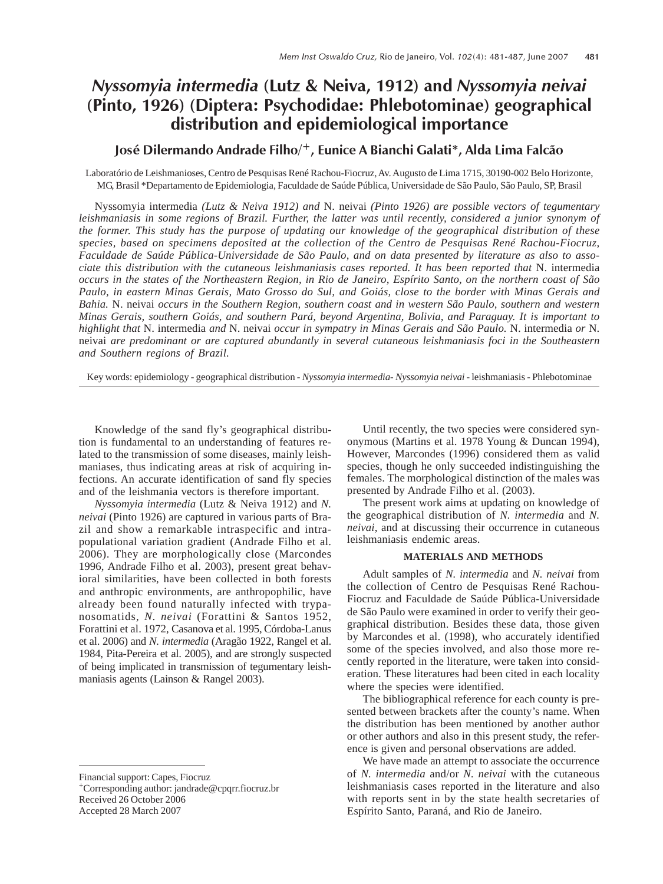# Nyssomyia intermedia (Lutz & Neiva, 1912) and Nyssomyia neivai (Pinto, 1926) (Diptera: Psychodidae: Phlebotominae) geographical distribution and epidemiological importance

# José Dilermando Andrade Filho/+, Eunice A Bianchi Galati\*, Alda Lima Falcão

Laboratório de Leishmanioses, Centro de Pesquisas René Rachou-Fiocruz, Av. Augusto de Lima 1715, 30190-002 Belo Horizonte, MG, Brasil \*Departamento de Epidemiologia, Faculdade de Saúde Pública, Universidade de São Paulo, São Paulo, SP, Brasil

Nyssomyia intermedia *(Lutz & Neiva 1912) and* N. neivai *(Pinto 1926) are possible vectors of tegumentary leishmaniasis in some regions of Brazil. Further, the latter was until recently, considered a junior synonym of the former. This study has the purpose of updating our knowledge of the geographical distribution of these species, based on specimens deposited at the collection of the Centro de Pesquisas René Rachou-Fiocruz, Faculdade de Saúde Pública-Universidade de São Paulo, and on data presented by literature as also to associate this distribution with the cutaneous leishmaniasis cases reported. It has been reported that* N. intermedia *occurs in the states of the Northeastern Region, in Rio de Janeiro, Espírito Santo, on the northern coast of São Paulo, in eastern Minas Gerais, Mato Grosso do Sul, and Goiás, close to the border with Minas Gerais and Bahia.* N. neivai *occurs in the Southern Region, southern coast and in western São Paulo, southern and western Minas Gerais, southern Goiás, and southern Pará, beyond Argentina, Bolivia, and Paraguay. It is important to highlight that* N. intermedia *and* N. neivai *occur in sympatry in Minas Gerais and São Paulo.* N. intermedia *or* N. neivai *are predominant or are captured abundantly in several cutaneous leishmaniasis foci in the Southeastern and Southern regions of Brazil.*

Key words: epidemiology - geographical distribution - *Nyssomyia intermedia*- *Nyssomyia neivai* - leishmaniasis - Phlebotominae

Knowledge of the sand fly's geographical distribution is fundamental to an understanding of features related to the transmission of some diseases, mainly leishmaniases, thus indicating areas at risk of acquiring infections. An accurate identification of sand fly species and of the leishmania vectors is therefore important.

*Nyssomyia intermedia* (Lutz & Neiva 1912) and *N. neivai* (Pinto 1926) are captured in various parts of Brazil and show a remarkable intraspecific and intrapopulational variation gradient (Andrade Filho et al. 2006). They are morphologically close (Marcondes 1996, Andrade Filho et al. 2003), present great behavioral similarities, have been collected in both forests and anthropic environments, are anthropophilic, have already been found naturally infected with trypanosomatids, *N. neivai* (Forattini & Santos 1952, Forattini et al. 1972, Casanova et al. 1995, Córdoba-Lanus et al. 2006) and *N. intermedia* (Aragão 1922, Rangel et al. 1984, Pita-Pereira et al. 2005), and are strongly suspected of being implicated in transmission of tegumentary leishmaniasis agents (Lainson & Rangel 2003).

Financial support: Capes, Fiocruz

Accepted 28 March 2007

Until recently, the two species were considered synonymous (Martins et al. 1978 Young & Duncan 1994), However, Marcondes (1996) considered them as valid species, though he only succeeded indistinguishing the females. The morphological distinction of the males was presented by Andrade Filho et al. (2003).

The present work aims at updating on knowledge of the geographical distribution of *N. intermedia* and *N. neivai*, and at discussing their occurrence in cutaneous leishmaniasis endemic areas.

### **MATERIALS AND METHODS**

Adult samples of *N. intermedia* and *N. neivai* from the collection of Centro de Pesquisas René Rachou-Fiocruz and Faculdade de Saúde Pública-Universidade de São Paulo were examined in order to verify their geographical distribution. Besides these data, those given by Marcondes et al. (1998), who accurately identified some of the species involved, and also those more recently reported in the literature, were taken into consideration. These literatures had been cited in each locality where the species were identified.

The bibliographical reference for each county is presented between brackets after the county's name. When the distribution has been mentioned by another author or other authors and also in this present study, the reference is given and personal observations are added.

We have made an attempt to associate the occurrence of *N. intermedia* and/or *N. neivai* with the cutaneous leishmaniasis cases reported in the literature and also with reports sent in by the state health secretaries of Espírito Santo, Paraná, and Rio de Janeiro.

<sup>+</sup>Corresponding author: jandrade@cpqrr.fiocruz.br Received 26 October 2006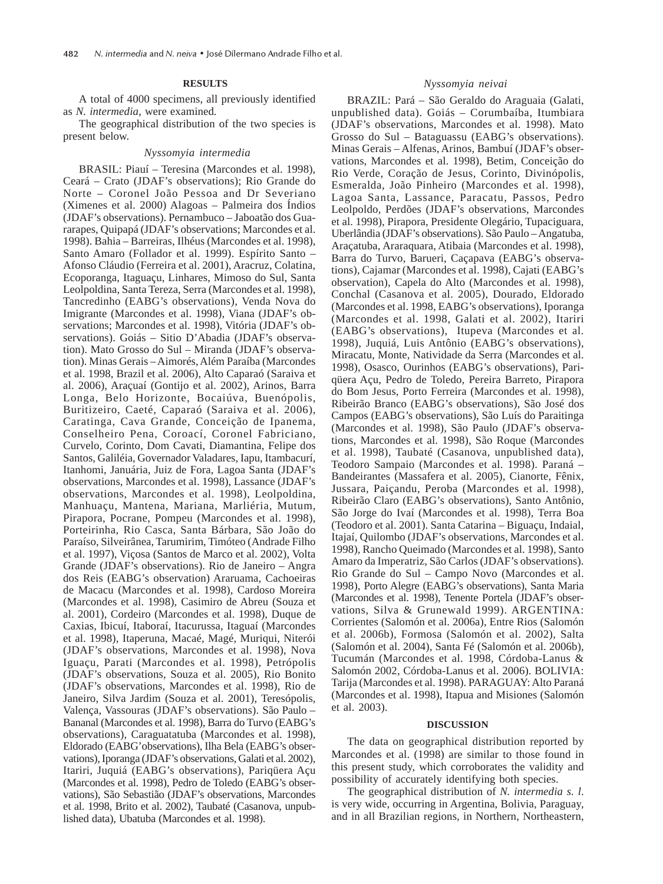## **RESULTS**

A total of 4000 specimens, all previously identified as *N. intermedia*, were examined*.*

The geographical distribution of the two species is present below.

#### *Nyssomyia intermedia*

BRASIL: Piauí – Teresina (Marcondes et al. 1998), Ceará – Crato (JDAF's observations); Rio Grande do Norte – Coronel João Pessoa and Dr Severiano (Ximenes et al. 2000) Alagoas – Palmeira dos Índios (JDAF's observations). Pernambuco – Jaboatão dos Guararapes, Quipapá (JDAF's observations; Marcondes et al. 1998). Bahia – Barreiras, Ilhéus (Marcondes et al. 1998), Santo Amaro (Follador et al. 1999). Espírito Santo – Afonso Cláudio (Ferreira et al. 2001), Aracruz, Colatina, Ecoporanga, Itaguaçu, Linhares, Mimoso do Sul, Santa Leolpoldina, Santa Tereza, Serra (Marcondes et al. 1998), Tancredinho (EABG's observations), Venda Nova do Imigrante (Marcondes et al. 1998), Viana (JDAF's observations; Marcondes et al. 1998), Vitória (JDAF's observations). Goiás – Sitio D'Abadia (JDAF's observation). Mato Grosso do Sul – Miranda (JDAF's observation). Minas Gerais – Aimorés, Além Paraíba (Marcondes et al. 1998, Brazil et al. 2006), Alto Caparaó (Saraiva et al. 2006), Araçuaí (Gontijo et al. 2002), Arinos, Barra Longa, Belo Horizonte, Bocaiúva, Buenópolis, Buritizeiro, Caeté, Caparaó (Saraiva et al. 2006), Caratinga, Cava Grande, Conceição de Ipanema, Conselheiro Pena, Coroací, Coronel Fabriciano, Curvelo, Corinto, Dom Cavati, Diamantina, Felipe dos Santos, Galiléia, Governador Valadares, Iapu, Itambacurí, Itanhomi, Januária, Juiz de Fora, Lagoa Santa (JDAF's observations, Marcondes et al. 1998), Lassance (JDAF's observations, Marcondes et al. 1998), Leolpoldina, Manhuaçu, Mantena, Mariana, Marliéria, Mutum, Pirapora, Pocrane, Pompeu (Marcondes et al. 1998), Porteirinha, Rio Casca, Santa Bárbara, São João do Paraíso, Silveirânea, Tarumirim, Timóteo (Andrade Filho et al. 1997), Viçosa (Santos de Marco et al. 2002), Volta Grande (JDAF's observations). Rio de Janeiro – Angra dos Reis (EABG's observation) Araruama, Cachoeiras de Macacu (Marcondes et al. 1998), Cardoso Moreira (Marcondes et al. 1998), Casimiro de Abreu (Souza et al. 2001), Cordeiro (Marcondes et al. 1998), Duque de Caxias, Ibicuí, Itaboraí, Itacurussa, Itaguaí (Marcondes et al. 1998), Itaperuna, Macaé, Magé, Muriqui, Niterói (JDAF's observations, Marcondes et al. 1998), Nova Iguaçu, Parati (Marcondes et al. 1998), Petrópolis (JDAF's observations, Souza et al. 2005), Rio Bonito (JDAF's observations, Marcondes et al. 1998), Rio de Janeiro, Silva Jardim (Souza et al. 2001), Teresópolis, Valença, Vassouras (JDAF's observations). São Paulo – Bananal (Marcondes et al. 1998), Barra do Turvo (EABG's observations), Caraguatatuba (Marcondes et al. 1998), Eldorado (EABG'observations), Ilha Bela (EABG's observations), Iporanga (JDAF's observations, Galati et al. 2002), Itariri, Juquiá (EABG's observations), Pariqüera Açu (Marcondes et al. 1998), Pedro de Toledo (EABG's observations), São Sebastião (JDAF's observations, Marcondes et al. 1998, Brito et al. 2002), Taubaté (Casanova, unpublished data), Ubatuba (Marcondes et al. 1998).

#### *Nyssomyia neivai*

BRAZIL: Pará – São Geraldo do Araguaia (Galati, unpublished data). Goiás – Corumbaíba, Itumbiara (JDAF's observations, Marcondes et al. 1998). Mato Grosso do Sul – Bataguassu (EABG's observations). Minas Gerais – Alfenas, Arinos, Bambuí (JDAF's observations, Marcondes et al. 1998), Betim, Conceição do Rio Verde, Coração de Jesus, Corinto, Divinópolis, Esmeralda, João Pinheiro (Marcondes et al. 1998), Lagoa Santa, Lassance, Paracatu, Passos, Pedro Leolpoldo, Perdões (JDAF's observations, Marcondes et al. 1998), Pirapora, Presidente Olegário, Tupaciguara, Uberlândia (JDAF's observations). São Paulo – Angatuba, Araçatuba, Araraquara, Atibaia (Marcondes et al. 1998), Barra do Turvo, Barueri, Caçapava (EABG's observations), Cajamar (Marcondes et al. 1998), Cajati (EABG's observation), Capela do Alto (Marcondes et al. 1998), Conchal (Casanova et al. 2005), Dourado, Eldorado (Marcondes et al. 1998, EABG's observations), Iporanga (Marcondes et al. 1998, Galati et al. 2002), Itariri (EABG's observations), Itupeva (Marcondes et al. 1998), Juquiá, Luis Antônio (EABG's observations), Miracatu, Monte, Natividade da Serra (Marcondes et al. 1998), Osasco, Ourinhos (EABG's observations), Pariqüera Açu, Pedro de Toledo, Pereira Barreto, Pirapora do Bom Jesus, Porto Ferreira (Marcondes et al. 1998), Ribeirão Branco (EABG's observations), São José dos Campos (EABG's observations), São Luís do Paraitinga (Marcondes et al. 1998), São Paulo (JDAF's observations, Marcondes et al. 1998), São Roque (Marcondes et al. 1998), Taubaté (Casanova, unpublished data), Teodoro Sampaio (Marcondes et al. 1998). Paraná – Bandeirantes (Massafera et al. 2005), Cianorte, Fênix, Jussara, Paiçandu, Peroba (Marcondes et al. 1998), Ribeirão Claro (EABG's observations), Santo Antônio, São Jorge do Ivaí (Marcondes et al. 1998), Terra Boa (Teodoro et al. 2001). Santa Catarina – Biguaçu, Indaial, Itajaí, Quilombo (JDAF's observations, Marcondes et al. 1998), Rancho Queimado (Marcondes et al. 1998), Santo Amaro da Imperatriz, São Carlos (JDAF's observations). Rio Grande do Sul – Campo Novo (Marcondes et al. 1998), Porto Alegre (EABG's observations), Santa Maria (Marcondes et al. 1998), Tenente Portela (JDAF's observations, Silva & Grunewald 1999). ARGENTINA: Corrientes (Salomón et al. 2006a), Entre Rios (Salomón et al. 2006b), Formosa (Salomón et al. 2002), Salta (Salomón et al. 2004), Santa Fé (Salomón et al. 2006b), Tucumán (Marcondes et al. 1998, Córdoba-Lanus & Salomón 2002, Córdoba-Lanus et al. 2006). BOLIVIA: Tarija (Marcondes et al. 1998). PARAGUAY: Alto Paraná (Marcondes et al. 1998), Itapua and Misiones (Salomón et al. 2003).

#### **DISCUSSION**

The data on geographical distribution reported by Marcondes et al. (1998) are similar to those found in this present study, which corroborates the validity and possibility of accurately identifying both species.

The geographical distribution of *N. intermedia s. l*. is very wide, occurring in Argentina, Bolivia, Paraguay, and in all Brazilian regions, in Northern, Northeastern,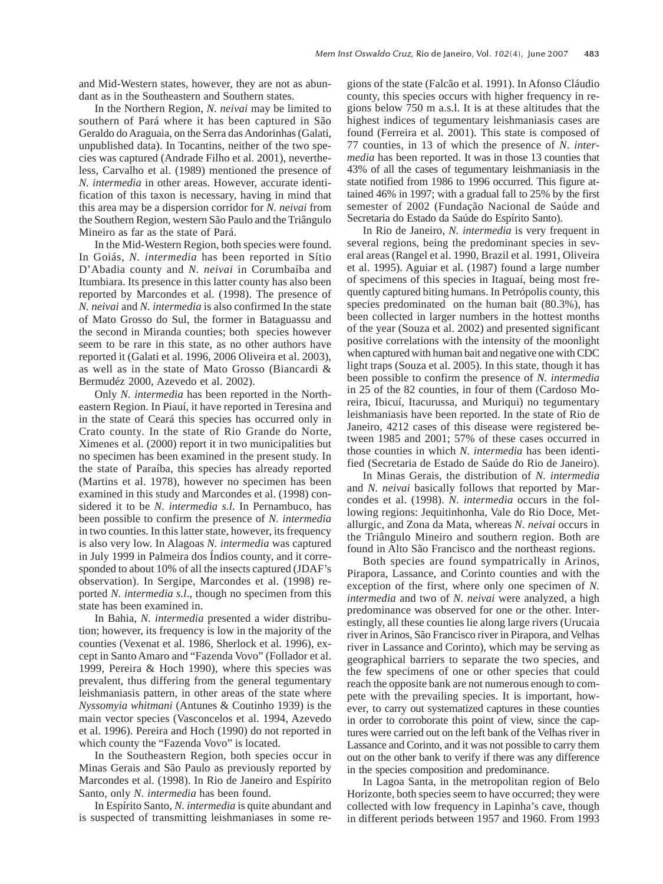and Mid-Western states, however, they are not as abundant as in the Southeastern and Southern states.

In the Northern Region, *N. neivai* may be limited to southern of Pará where it has been captured in São Geraldo do Araguaia, on the Serra das Andorinhas (Galati, unpublished data). In Tocantins, neither of the two species was captured (Andrade Filho et al. 2001), nevertheless, Carvalho et al. (1989) mentioned the presence of *N. intermedia* in other areas. However, accurate identification of this taxon is necessary, having in mind that this area may be a dispersion corridor for *N. neivai* from the Southern Region, western São Paulo and the Triângulo Mineiro as far as the state of Pará.

In the Mid-Western Region, both species were found. In Goiás, *N. intermedia* has been reported in Sítio D'Abadia county and *N. neivai* in Corumbaíba and Itumbiara. Its presence in this latter county has also been reported by Marcondes et al. (1998). The presence of *N. neivai* and *N. intermedia* is also confirmed In the state of Mato Grosso do Sul, the former in Bataguassu and the second in Miranda counties; both species however seem to be rare in this state, as no other authors have reported it (Galati et al. 1996, 2006 Oliveira et al. 2003), as well as in the state of Mato Grosso (Biancardi & Bermudéz 2000, Azevedo et al. 2002).

Only *N. intermedia* has been reported in the Northeastern Region. In Piauí, it have reported in Teresina and in the state of Ceará this species has occurred only in Crato county. In the state of Rio Grande do Norte, Ximenes et al. (2000) report it in two municipalities but no specimen has been examined in the present study. In the state of Paraíba, this species has already reported (Martins et al. 1978), however no specimen has been examined in this study and Marcondes et al. (1998) considered it to be *N. intermedia s.l.* In Pernambuco, has been possible to confirm the presence of *N. intermedia* in two counties. In this latter state, however, its frequency is also very low. In Alagoas *N. intermedia* was captured in July 1999 in Palmeira dos Índios county, and it corresponded to about 10% of all the insects captured (JDAF's observation). In Sergipe, Marcondes et al. (1998) reported *N. intermedia s.l*., though no specimen from this state has been examined in.

In Bahia, *N. intermedia* presented a wider distribution; however, its frequency is low in the majority of the counties (Vexenat et al. 1986, Sherlock et al. 1996), except in Santo Amaro and "Fazenda Vovo" (Follador et al. 1999, Pereira & Hoch 1990), where this species was prevalent, thus differing from the general tegumentary leishmaniasis pattern, in other areas of the state where *Nyssomyia whitmani* (Antunes & Coutinho 1939) is the main vector species (Vasconcelos et al. 1994, Azevedo et al. 1996). Pereira and Hoch (1990) do not reported in which county the "Fazenda Vovo" is located.

In the Southeastern Region, both species occur in Minas Gerais and São Paulo as previously reported by Marcondes et al. (1998). In Rio de Janeiro and Espírito Santo, only *N. intermedia* has been found.

In Espírito Santo, *N. intermedia* is quite abundant and is suspected of transmitting leishmaniases in some regions of the state (Falcão et al. 1991). In Afonso Cláudio county, this species occurs with higher frequency in regions below 750 m a.s.l. It is at these altitudes that the highest indices of tegumentary leishmaniasis cases are found (Ferreira et al. 2001). This state is composed of 77 counties, in 13 of which the presence of *N. intermedia* has been reported. It was in those 13 counties that 43% of all the cases of tegumentary leishmaniasis in the state notified from 1986 to 1996 occurred. This figure attained 46% in 1997; with a gradual fall to 25% by the first semester of 2002 (Fundação Nacional de Saúde and Secretaria do Estado da Saúde do Espírito Santo).

In Rio de Janeiro, *N. intermedia* is very frequent in several regions, being the predominant species in several areas (Rangel et al. 1990, Brazil et al. 1991, Oliveira et al. 1995). Aguiar et al. (1987) found a large number of specimens of this species in Itaguaí, being most frequently captured biting humans. In Petrópolis county, this species predominated on the human bait (80.3%), has been collected in larger numbers in the hottest months of the year (Souza et al. 2002) and presented significant positive correlations with the intensity of the moonlight when captured with human bait and negative one with CDC light traps (Souza et al. 2005). In this state, though it has been possible to confirm the presence of *N. intermedia* in 25 of the 82 counties, in four of them (Cardoso Moreira, Ibicuí, Itacurussa, and Muriqui) no tegumentary leishmaniasis have been reported. In the state of Rio de Janeiro, 4212 cases of this disease were registered between 1985 and 2001; 57% of these cases occurred in those counties in which *N. intermedia* has been identified (Secretaria de Estado de Saúde do Rio de Janeiro).

In Minas Gerais, the distribution of *N. intermedia* and *N. neivai* basically follows that reported by Marcondes et al. (1998). *N. intermedia* occurs in the following regions: Jequitinhonha, Vale do Rio Doce, Metallurgic, and Zona da Mata, whereas *N. neivai* occurs in the Triângulo Mineiro and southern region. Both are found in Alto São Francisco and the northeast regions.

Both species are found sympatrically in Arinos, Pirapora, Lassance, and Corinto counties and with the exception of the first, where only one specimen of *N. intermedia* and two of *N. neivai* were analyzed, a high predominance was observed for one or the other. Interestingly, all these counties lie along large rivers (Urucaia river in Arinos, São Francisco river in Pirapora, and Velhas river in Lassance and Corinto), which may be serving as geographical barriers to separate the two species, and the few specimens of one or other species that could reach the opposite bank are not numerous enough to compete with the prevailing species. It is important, however, to carry out systematized captures in these counties in order to corroborate this point of view, since the captures were carried out on the left bank of the Velhas river in Lassance and Corinto, and it was not possible to carry them out on the other bank to verify if there was any difference in the species composition and predominance.

In Lagoa Santa, in the metropolitan region of Belo Horizonte, both species seem to have occurred; they were collected with low frequency in Lapinha's cave, though in different periods between 1957 and 1960. From 1993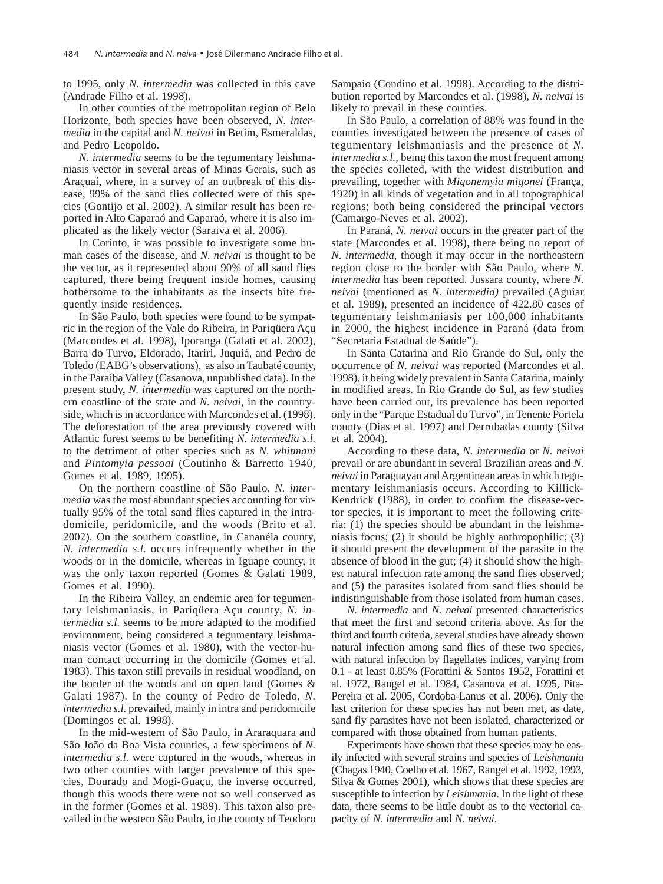to 1995, only *N. intermedia* was collected in this cave (Andrade Filho et al. 1998).

In other counties of the metropolitan region of Belo Horizonte, both species have been observed, *N. intermedia* in the capital and *N. neivai* in Betim, Esmeraldas, and Pedro Leopoldo.

*N. intermedia* seems to be the tegumentary leishmaniasis vector in several areas of Minas Gerais, such as Araçuaí, where, in a survey of an outbreak of this disease, 99% of the sand flies collected were of this species (Gontijo et al. 2002). A similar result has been reported in Alto Caparaó and Caparaó, where it is also implicated as the likely vector (Saraiva et al. 2006).

In Corinto, it was possible to investigate some human cases of the disease, and *N. neivai* is thought to be the vector, as it represented about 90% of all sand flies captured, there being frequent inside homes, causing bothersome to the inhabitants as the insects bite frequently inside residences.

In São Paulo, both species were found to be sympatric in the region of the Vale do Ribeira, in Pariqüera Açu (Marcondes et al. 1998), Iporanga (Galati et al. 2002), Barra do Turvo, Eldorado, Itariri, Juquiá, and Pedro de Toledo (EABG's observations), as also in Taubaté county, in the Paraíba Valley (Casanova, unpublished data). In the present study, *N. intermedia* was captured on the northern coastline of the state and *N. neivai*, in the countryside, which is in accordance with Marcondes et al. (1998). The deforestation of the area previously covered with Atlantic forest seems to be benefiting *N. intermedia s.l.* to the detriment of other species such as *N. whitmani* and *Pintomyia pessoai* (Coutinho & Barretto 1940, Gomes et al. 1989, 1995).

On the northern coastline of São Paulo, *N. intermedia* was the most abundant species accounting for virtually 95% of the total sand flies captured in the intradomicile, peridomicile, and the woods (Brito et al. 2002). On the southern coastline, in Cananéia county, *N. intermedia s.l.* occurs infrequently whether in the woods or in the domicile, whereas in Iguape county, it was the only taxon reported (Gomes & Galati 1989, Gomes et al. 1990).

In the Ribeira Valley, an endemic area for tegumentary leishmaniasis, in Pariqüera Açu county, *N. intermedia s.l.* seems to be more adapted to the modified environment, being considered a tegumentary leishmaniasis vector (Gomes et al. 1980), with the vector-human contact occurring in the domicile (Gomes et al. 1983). This taxon still prevails in residual woodland, on the border of the woods and on open land (Gomes & Galati 1987). In the county of Pedro de Toledo, *N. intermedia s.l.* prevailed, mainly in intra and peridomicile (Domingos et al. 1998).

In the mid-western of São Paulo, in Araraquara and São João da Boa Vista counties, a few specimens of *N. intermedia s.l.* were captured in the woods, whereas in two other counties with larger prevalence of this species, Dourado and Mogi-Guaçu, the inverse occurred, though this woods there were not so well conserved as in the former (Gomes et al*.* 1989). This taxon also prevailed in the western São Paulo, in the county of Teodoro Sampaio (Condino et al. 1998). According to the distribution reported by Marcondes et al. (1998), *N. neivai* is likely to prevail in these counties.

In São Paulo, a correlation of 88% was found in the counties investigated between the presence of cases of tegumentary leishmaniasis and the presence of *N. intermedia s.l.,* being this taxon the most frequent among the species colleted, with the widest distribution and prevailing, together with *Migonemyia migonei* (França, 1920) in all kinds of vegetation and in all topographical regions; both being considered the principal vectors (Camargo-Neves et al. 2002).

In Paraná, *N. neivai* occurs in the greater part of the state (Marcondes et al. 1998), there being no report of *N. intermedia*, though it may occur in the northeastern region close to the border with São Paulo, where *N. intermedia* has been reported. Jussara county, where *N. neivai* (mentioned as *N. intermedia)* prevailed (Aguiar et al. 1989), presented an incidence of 422.80 cases of tegumentary leishmaniasis per 100,000 inhabitants in 2000, the highest incidence in Paraná (data from "Secretaria Estadual de Saúde").

In Santa Catarina and Rio Grande do Sul, only the occurrence of *N. neivai* was reported (Marcondes et al. 1998), it being widely prevalent in Santa Catarina, mainly in modified areas. In Rio Grande do Sul, as few studies have been carried out, its prevalence has been reported only in the "Parque Estadual do Turvo", in Tenente Portela county (Dias et al. 1997) and Derrubadas county (Silva et al*.* 2004).

According to these data, *N. intermedia* or *N. neivai* prevail or are abundant in several Brazilian areas and *N. neivai* in Paraguayan and Argentinean areas in which tegumentary leishmaniasis occurs. According to Killick-Kendrick (1988), in order to confirm the disease-vector species, it is important to meet the following criteria: (1) the species should be abundant in the leishmaniasis focus; (2) it should be highly anthropophilic; (3) it should present the development of the parasite in the absence of blood in the gut; (4) it should show the highest natural infection rate among the sand flies observed; and (5) the parasites isolated from sand flies should be indistinguishable from those isolated from human cases.

*N. intermedia* and *N. neivai* presented characteristics that meet the first and second criteria above. As for the third and fourth criteria, several studies have already shown natural infection among sand flies of these two species, with natural infection by flagellates indices, varying from 0.1 - at least 0.85% (Forattini & Santos 1952, Forattini et al. 1972, Rangel et al. 1984, Casanova et al. 1995, Pita-Pereira et al. 2005, Cordoba-Lanus et al. 2006). Only the last criterion for these species has not been met, as date, sand fly parasites have not been isolated, characterized or compared with those obtained from human patients.

Experiments have shown that these species may be easily infected with several strains and species of *Leishmania* (Chagas 1940, Coelho et al. 1967, Rangel et al. 1992, 1993, Silva  $&$  Gomes 2001), which shows that these species are susceptible to infection by *Leishmania*. In the light of these data, there seems to be little doubt as to the vectorial capacity of *N. intermedia* and *N. neivai*.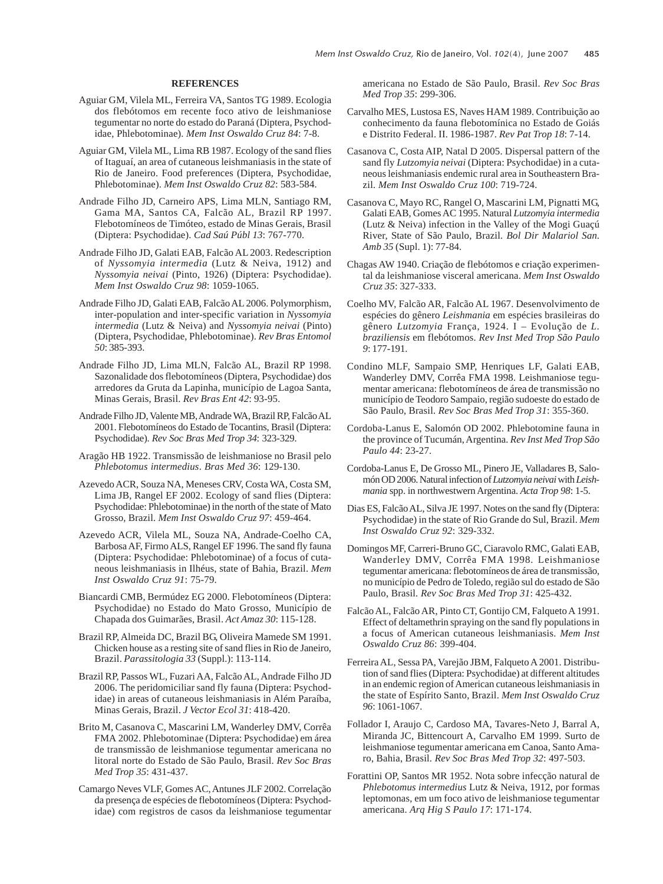#### **REFERENCES**

- Aguiar GM, Vilela ML, Ferreira VA, Santos TG 1989. Ecologia dos flebótomos em recente foco ativo de leishmaniose tegumentar no norte do estado do Paraná (Diptera, Psychodidae, Phlebotominae). *Mem Inst Oswaldo Cruz 84*: 7-8.
- Aguiar GM, Vilela ML, Lima RB 1987. Ecology of the sand flies of Itaguaí, an area of cutaneous leishmaniasis in the state of Rio de Janeiro. Food preferences (Diptera, Psychodidae, Phlebotominae). *Mem Inst Oswaldo Cruz 82*: 583-584.
- Andrade Filho JD, Carneiro APS, Lima MLN, Santiago RM, Gama MA, Santos CA, Falcão AL, Brazil RP 1997. Flebotomíneos de Timóteo, estado de Minas Gerais, Brasil (Diptera: Psychodidae). *Cad Saú Públ 13*: 767-770.
- Andrade Filho JD, Galati EAB, Falcão AL 2003. Redescription of *Nyssomyia intermedia* (Lutz & Neiva, 1912) and *Nyssomyia neivai* (Pinto, 1926) (Diptera: Psychodidae). *Mem Inst Oswaldo Cruz 98*: 1059-1065.
- Andrade Filho JD, Galati EAB, Falcão AL 2006. Polymorphism, inter-population and inter-specific variation in *Nyssomyia intermedia* (Lutz & Neiva) and *Nyssomyia neivai* (Pinto) (Diptera, Psychodidae, Phlebotominae). *Rev Bras Entomol 50*: 385-393.
- Andrade Filho JD, Lima MLN, Falcão AL, Brazil RP 1998. Sazonalidade dos flebotomíneos (Diptera, Psychodidae) dos arredores da Gruta da Lapinha, município de Lagoa Santa, Minas Gerais, Brasil. *Rev Bras Ent 42*: 93-95.
- Andrade Filho JD, Valente MB, Andrade WA, Brazil RP, Falcão AL 2001. Flebotomíneos do Estado de Tocantins, Brasil (Diptera: Psychodidae). *Rev Soc Bras Med Trop 34*: 323-329.
- Aragão HB 1922. Transmissão de leishmaniose no Brasil pelo *Phlebotomus intermedius*. *Bras Med 36*: 129-130.
- Azevedo ACR, Souza NA, Meneses CRV, Costa WA, Costa SM, Lima JB, Rangel EF 2002. Ecology of sand flies (Diptera: Psychodidae: Phlebotominae) in the north of the state of Mato Grosso, Brazil. *Mem Inst Oswaldo Cruz 97*: 459-464.
- Azevedo ACR, Vilela ML, Souza NA, Andrade-Coelho CA, Barbosa AF, Firmo ALS, Rangel EF 1996. The sand fly fauna (Diptera: Psychodidae: Phlebotominae) of a focus of cutaneous leishmaniasis in Ilhéus, state of Bahia, Brazil. *Mem Inst Oswaldo Cruz 91*: 75-79.
- Biancardi CMB, Bermúdez EG 2000. Flebotomíneos (Diptera: Psychodidae) no Estado do Mato Grosso, Município de Chapada dos Guimarães, Brasil. *Act Amaz 30*: 115-128.
- Brazil RP, Almeida DC, Brazil BG, Oliveira Mamede SM 1991. Chicken house as a resting site of sand flies in Rio de Janeiro, Brazil. *Parassitologia 33* (Suppl.): 113-114.
- Brazil RP, Passos WL, Fuzari AA, Falcão AL, Andrade Filho JD 2006. The peridomiciliar sand fly fauna (Diptera: Psychodidae) in areas of cutaneous leishmaniasis in Além Paraíba, Minas Gerais, Brazil. *J Vector Ecol 31*: 418-420.
- Brito M, Casanova C, Mascarini LM, Wanderley DMV, Corrêa FMA 2002. Phlebotominae (Diptera: Psychodidae) em área de transmissão de leishmaniose tegumentar americana no litoral norte do Estado de São Paulo, Brasil. *Rev Soc Bras Med Trop 35*: 431-437.
- Camargo Neves VLF, Gomes AC, Antunes JLF 2002. Correlação da presença de espécies de flebotomíneos (Diptera: Psychodidae) com registros de casos da leishmaniose tegumentar

americana no Estado de São Paulo, Brasil. *Rev Soc Bras Med Trop 35*: 299-306.

- Carvalho MES, Lustosa ES, Naves HAM 1989. Contribuição ao conhecimento da fauna flebotomínica no Estado de Goiás e Distrito Federal. II. 1986-1987. *Rev Pat Trop 18*: 7-14.
- Casanova C, Costa AIP, Natal D 2005. Dispersal pattern of the sand fly *Lutzomyia neivai* (Diptera: Psychodidae) in a cutaneous leishmaniasis endemic rural area in Southeastern Brazil. *Mem Inst Oswaldo Cruz 100*: 719-724.
- Casanova C, Mayo RC, Rangel O, Mascarini LM, Pignatti MG, Galati EAB, Gomes AC 1995. Natural *Lutzomyia intermedia* (Lutz & Neiva) infection in the Valley of the Mogi Guaçú River, State of São Paulo, Brazil. *Bol Dir Malariol San. Amb 35* (Supl. 1): 77-84.
- Chagas AW 1940. Criação de flebótomos e criação experimental da leishmaniose visceral americana. *Mem Inst Oswaldo Cruz 35*: 327-333.
- Coelho MV, Falcão AR, Falcão AL 1967. Desenvolvimento de espécies do gênero *Leishmania* em espécies brasileiras do gênero *Lutzomyia* França, 1924. I – Evolução de *L. braziliensis* em flebótomos. *Rev Inst Med Trop São Paulo 9*: 177-191.
- Condino MLF, Sampaio SMP, Henriques LF, Galati EAB, Wanderley DMV, Corrêa FMA 1998. Leishmaniose tegumentar americana: flebotomíneos de área de transmissão no município de Teodoro Sampaio, região sudoeste do estado de São Paulo, Brasil. *Rev Soc Bras Med Trop 31*: 355-360.
- Cordoba-Lanus E, Salomón OD 2002. Phlebotomine fauna in the province of Tucumán, Argentina. *Rev Inst Med Trop São Paulo 44*: 23-27.
- Cordoba-Lanus E, De Grosso ML, Pinero JE, Valladares B, Salomón OD 2006. Natural infection of *Lutzomyia neivai* with *Leishmania* spp. in northwestwern Argentina. *Acta Trop 98*: 1-5.
- Dias ES, Falcão AL, Silva JE 1997. Notes on the sand fly (Diptera: Psychodidae) in the state of Rio Grande do Sul, Brazil. *Mem Inst Oswaldo Cruz 92*: 329-332.
- Domingos MF, Carreri-Bruno GC, Ciaravolo RMC, Galati EAB, Wanderley DMV, Corrêa FMA 1998. Leishmaniose tegumentar americana: flebotomíneos de área de transmissão, no município de Pedro de Toledo, região sul do estado de São Paulo, Brasil. *Rev Soc Bras Med Trop 31*: 425-432.
- Falcão AL, Falcão AR, Pinto CT, Gontijo CM, Falqueto A 1991. Effect of deltamethrin spraying on the sand fly populations in a focus of American cutaneous leishmaniasis. *Mem Inst Oswaldo Cruz 86*: 399-404.
- Ferreira AL, Sessa PA, Varejão JBM, Falqueto A 2001. Distribution of sand flies (Diptera: Psychodidae) at different altitudes in an endemic region of American cutaneous leishmaniasis in the state of Espírito Santo, Brazil. *Mem Inst Oswaldo Cruz 96*: 1061-1067.
- Follador I, Araujo C, Cardoso MA, Tavares-Neto J, Barral A, Miranda JC, Bittencourt A, Carvalho EM 1999. Surto de leishmaniose tegumentar americana em Canoa, Santo Amaro, Bahia, Brasil. *Rev Soc Bras Med Trop 32*: 497-503.
- Forattini OP, Santos MR 1952. Nota sobre infecção natural de *Phlebotomus intermedius* Lutz & Neiva, 1912, por formas leptomonas, em um foco ativo de leishmaniose tegumentar americana. *Arq Hig S Paulo 17*: 171-174.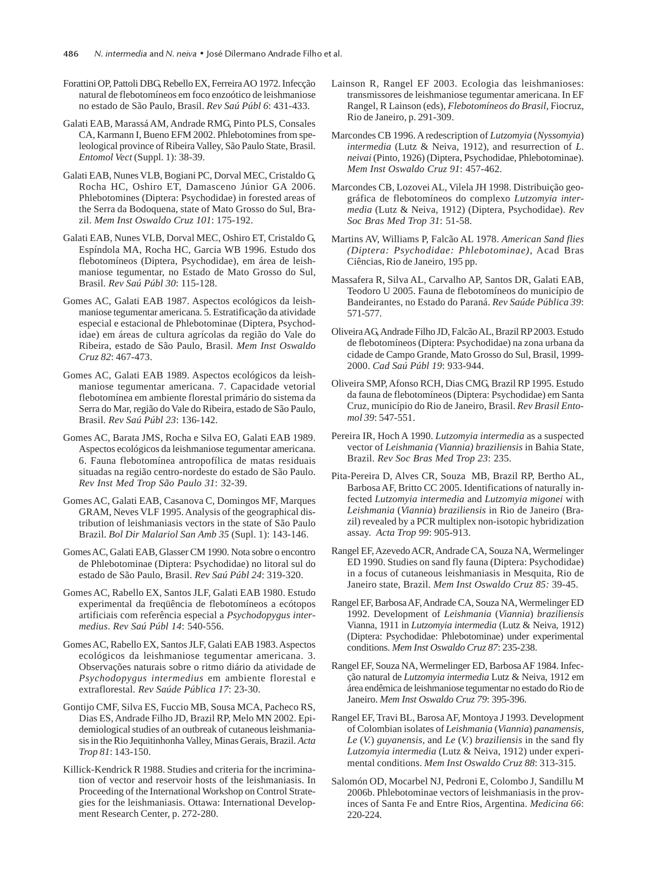- Forattini OP, Pattoli DBG, Rebello EX, Ferreira AO 1972. Infecção natural de flebotomíneos em foco enzoótico de leishmaniose no estado de São Paulo, Brasil. *Rev Saú Públ 6*: 431-433.
- Galati EAB, Marassá AM, Andrade RMG, Pinto PLS, Consales CA, Karmann I, Bueno EFM 2002. Phlebotomines from speleological province of Ribeira Valley, São Paulo State, Brasil. *Entomol Vect* (Suppl. 1): 38-39.
- Galati EAB, Nunes VLB, Bogiani PC, Dorval MEC, Cristaldo G, Rocha HC, Oshiro ET, Damasceno Júnior GA 2006. Phlebotomines (Diptera: Psychodidae) in forested areas of the Serra da Bodoquena, state of Mato Grosso do Sul, Brazil. *Mem Inst Oswaldo Cruz 101*: 175-192.
- Galati EAB, Nunes VLB, Dorval MEC, Oshiro ET, Cristaldo G, Espíndola MA, Rocha HC, Garcia WB 1996. Estudo dos flebotomíneos (Diptera, Psychodidae), em área de leishmaniose tegumentar, no Estado de Mato Grosso do Sul, Brasil. *Rev Saú Públ 30*: 115-128.
- Gomes AC, Galati EAB 1987. Aspectos ecológicos da leishmaniose tegumentar americana. 5. Estratificação da atividade especial e estacional de Phlebotominae (Diptera, Psychodidae) em áreas de cultura agrícolas da região do Vale do Ribeira, estado de São Paulo, Brasil. *Mem Inst Oswaldo Cruz 82*: 467-473.
- Gomes AC, Galati EAB 1989. Aspectos ecológicos da leishmaniose tegumentar americana. 7. Capacidade vetorial flebotomínea em ambiente florestal primário do sistema da Serra do Mar, região do Vale do Ribeira, estado de São Paulo, Brasil. *Rev Saú Públ 23*: 136-142.
- Gomes AC, Barata JMS, Rocha e Silva EO, Galati EAB 1989. Aspectos ecológicos da leishmaniose tegumentar americana. 6. Fauna flebotomínea antropofílica de matas residuais situadas na região centro-nordeste do estado de São Paulo. *Rev Inst Med Trop São Paulo 31*: 32-39.
- Gomes AC, Galati EAB, Casanova C, Domingos MF, Marques GRAM, Neves VLF 1995. Analysis of the geographical distribution of leishmaniasis vectors in the state of São Paulo Brazil. *Bol Dir Malariol San Amb 35* (Supl. 1): 143-146.
- Gomes AC, Galati EAB, Glasser CM 1990. Nota sobre o encontro de Phlebotominae (Diptera: Psychodidae) no litoral sul do estado de São Paulo, Brasil. *Rev Saú Públ 24*: 319-320.
- Gomes AC, Rabello EX, Santos JLF, Galati EAB 1980. Estudo experimental da freqüência de flebotomíneos a ecótopos artificiais com referência especial a *Psychodopygus intermedius*. *Rev Saú Públ 14*: 540-556.
- Gomes AC, Rabello EX, Santos JLF, Galati EAB 1983. Aspectos ecológicos da leishmaniose tegumentar americana. 3. Observações naturais sobre o ritmo diário da atividade de *Psychodopygus intermedius* em ambiente florestal e extraflorestal. *Rev Saúde Pública 17*: 23-30.
- Gontijo CMF, Silva ES, Fuccio MB, Sousa MCA, Pacheco RS, Dias ES, Andrade Filho JD, Brazil RP, Melo MN 2002. Epidemiological studies of an outbreak of cutaneous leishmaniasis in the Rio Jequitinhonha Valley, Minas Gerais, Brazil. *Acta Trop 81*: 143-150.
- Killick-Kendrick R 1988. Studies and criteria for the incrimination of vector and reservoir hosts of the leishmaniasis. In Proceeding of the International Workshop on Control Strategies for the leishmaniasis. Ottawa: International Development Research Center, p. 272-280.
- Lainson R, Rangel EF 2003. Ecologia das leishmanioses: transmissores de leishmaniose tegumentar americana. In EF Rangel, R Lainson (eds), *Flebotomíneos do Brasil*, Fiocruz, Rio de Janeiro, p. 291-309.
- Marcondes CB 1996. A redescription of *Lutzomyia* (*Nyssomyia*) *intermedia* (Lutz & Neiva, 1912), and resurrection of *L*. *neivai* (Pinto, 1926) (Diptera, Psychodidae, Phlebotominae). *Mem Inst Oswaldo Cruz 91*: 457-462.
- Marcondes CB, Lozovei AL, Vilela JH 1998. Distribuição geográfica de flebotomíneos do complexo *Lutzomyia intermedia* (Lutz & Neiva, 1912) (Diptera, Psychodidae). *Rev Soc Bras Med Trop 31*: 51-58.
- Martins AV, Williams P, Falcão AL 1978. *American Sand flies (Diptera: Psychodidae: Phlebotominae)*, Acad Bras Ciências, Rio de Janeiro, 195 pp.
- Massafera R, Silva AL, Carvalho AP, Santos DR, Galati EAB, Teodoro U 2005. Fauna de flebotomíneos do município de Bandeirantes, no Estado do Paraná. *Rev Saúde Pública 39*: 571-577.
- Oliveira AG, Andrade Filho JD, Falcão AL, Brazil RP 2003. Estudo de flebotomíneos (Diptera: Psychodidae) na zona urbana da cidade de Campo Grande, Mato Grosso do Sul, Brasil, 1999- 2000. *Cad Saú Públ 19*: 933-944.
- Oliveira SMP, Afonso RCH, Dias CMG, Brazil RP 1995. Estudo da fauna de flebotomíneos (Diptera: Psychodidae) em Santa Cruz, município do Rio de Janeiro, Brasil. *Rev Brasil Entomol 39*: 547-551.
- Pereira IR, Hoch A 1990. *Lutzomyia intermedia* as a suspected vector of *Leishmania (Viannia) braziliensis* in Bahia State, Brazil. *Rev Soc Bras Med Trop 23*: 235.
- Pita-Pereira D, Alves CR, Souza MB, Brazil RP, Bertho AL, Barbosa AF, Britto CC 2005. Identifications of naturally infected *Lutzomyia intermedia* and *Lutzomyia migonei* with *Leishmania* (*Viannia*) *braziliensis* in Rio de Janeiro (Brazil) revealed by a PCR multiplex non-isotopic hybridization assay. *Acta Trop 99*: 905-913.
- Rangel EF, Azevedo ACR, Andrade CA, Souza NA, Wermelinger ED 1990. Studies on sand fly fauna (Diptera: Psychodidae) in a focus of cutaneous leishmaniasis in Mesquita, Rio de Janeiro state, Brazil. *Mem Inst Oswaldo Cruz 85:* 39-45.
- Rangel EF, Barbosa AF, Andrade CA, Souza NA, Wermelinger ED 1992. Development of *Leishmania* (*Viannia*) *braziliensis* Vianna, 1911 in *Lutzomyia intermedia* (Lutz & Neiva, 1912) (Diptera: Psychodidae: Phlebotominae) under experimental conditions. *Mem Inst Oswaldo Cruz 87*: 235-238.
- Rangel EF, Souza NA, Wermelinger ED, Barbosa AF 1984. Infecção natural de *Lutzomyia intermedia* Lutz & Neiva, 1912 em área endêmica de leishmaniose tegumentar no estado do Rio de Janeiro. *Mem Inst Oswaldo Cruz 79*: 395-396.
- Rangel EF, Travi BL, Barosa AF, Montoya J 1993. Development of Colombian isolates of *Leishmania* (*Viannia*) *panamensis*, *Le* (*V.*) *guyanensis,* and *Le* (*V.*) *braziliensis* in the sand fly *Lutzomyia intermedia* (Lutz & Neiva, 1912) under experimental conditions. *Mem Inst Oswaldo Cruz 88*: 313-315.
- Salomón OD, Mocarbel NJ, Pedroni E, Colombo J, Sandillu M 2006b. Phlebotominae vectors of leishmaniasis in the provinces of Santa Fe and Entre Rios, Argentina. *Medicina 66*: 220-224.